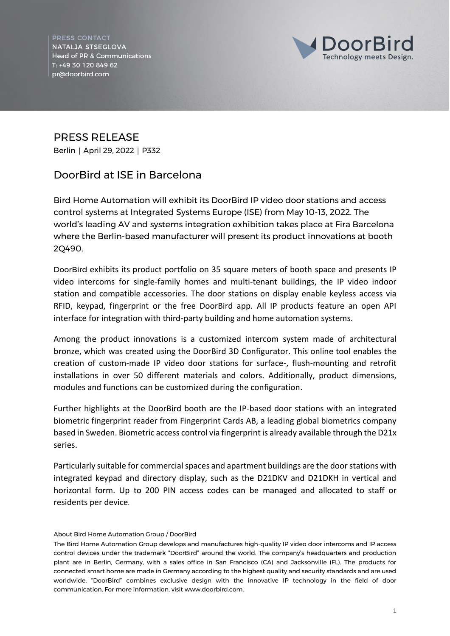**PRESS CONTACT** NATALJA STSEGLOVA **Head of PR & Communications** T: +49 30 120 849 62 pr@doorbird.com



## PRESS RELEASE

Berlin | April 29, 2022 | P332

## **DoorBird at ISE in Barcelona**

**Bird Home Automation will exhibit its DoorBird IP video door stations and access control systems at Integrated Systems Europe (ISE) from May 10-13, 2022. The world's leading AV and systems integration exhibition takes place at Fira Barcelona where the Berlin-based manufacturer will present its product innovations at booth 2Q490.**

DoorBird exhibits its product portfolio on 35 square meters of booth space and presents IP video intercoms for single-family homes and multi-tenant buildings, the IP video indoor station and compatible accessories. The door stations on display enable keyless access via RFID, keypad, fingerprint or the free DoorBird app. All IP products feature an open API interface for integration with third-party building and home automation systems.

Among the product innovations is a customized intercom system made of architectural bronze, which was created using the DoorBird 3D Configurator. This online tool enables the creation of custom-made IP video door stations for surface-, flush-mounting and retrofit installations in over 50 different materials and colors. Additionally, product dimensions, modules and functions can be customized during the configuration.

Further highlights at the DoorBird booth are the IP-based door stations with an integrated biometric fingerprint reader from Fingerprint Cards AB, a leading global biometrics company based in Sweden. Biometric access control via fingerprint is already available through the D21x series.

Particularly suitable for commercial spaces and apartment buildings are the door stations with integrated keypad and directory display, such as the D21DKV and D21DKH in vertical and horizontal form. Up to 200 PIN access codes can be managed and allocated to staff or residents per device.

## **About Bird Home Automation Group / DoorBird**

The Bird Home Automation Group develops and manufactures high-quality IP video door intercoms and IP access control devices under the trademark "DoorBird" around the world. The company's headquarters and production plant are in Berlin, Germany, with a sales office in San Francisco (CA) and Jacksonville (FL). The products for connected smart home are made in Germany according to the highest quality and security standards and are used worldwide. "DoorBird" combines exclusive design with the innovative IP technology in the field of door communication. For more information, visit www.doorbird.com.